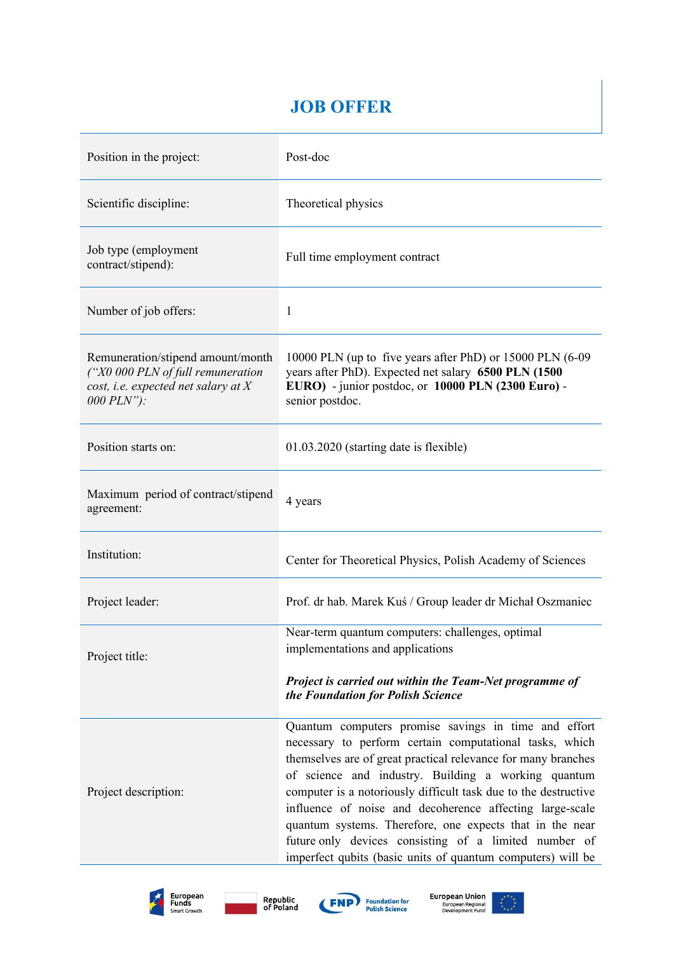# **JOB OFFER**

| Position in the project:                                                                                                      | Post-doc                                                                                                                                                                                                                                                                                                                                                                                                                                                                                                                                                   |  |  |  |  |
|-------------------------------------------------------------------------------------------------------------------------------|------------------------------------------------------------------------------------------------------------------------------------------------------------------------------------------------------------------------------------------------------------------------------------------------------------------------------------------------------------------------------------------------------------------------------------------------------------------------------------------------------------------------------------------------------------|--|--|--|--|
| Scientific discipline:                                                                                                        | Theoretical physics                                                                                                                                                                                                                                                                                                                                                                                                                                                                                                                                        |  |  |  |  |
| Job type (employment<br>contract/stipend):                                                                                    | Full time employment contract                                                                                                                                                                                                                                                                                                                                                                                                                                                                                                                              |  |  |  |  |
| Number of job offers:                                                                                                         | 1                                                                                                                                                                                                                                                                                                                                                                                                                                                                                                                                                          |  |  |  |  |
| Remuneration/stipend amount/month<br>('X0 000 PLN of full remuneration<br>cost, i.e. expected net salary at $X$<br>000 PLN"): | 10000 PLN (up to five years after PhD) or 15000 PLN (6-09<br>years after PhD). Expected net salary 6500 PLN (1500<br>EURO) - junior postdoc, or 10000 PLN (2300 Euro) -<br>senior postdoc.                                                                                                                                                                                                                                                                                                                                                                 |  |  |  |  |
| Position starts on:                                                                                                           | 01.03.2020 (starting date is flexible)                                                                                                                                                                                                                                                                                                                                                                                                                                                                                                                     |  |  |  |  |
| Maximum period of contract/stipend<br>agreement:                                                                              | 4 years                                                                                                                                                                                                                                                                                                                                                                                                                                                                                                                                                    |  |  |  |  |
| Institution:                                                                                                                  | Center for Theoretical Physics, Polish Academy of Sciences                                                                                                                                                                                                                                                                                                                                                                                                                                                                                                 |  |  |  |  |
| Project leader:                                                                                                               | Prof. dr hab. Marek Kuś / Group leader dr Michał Oszmaniec                                                                                                                                                                                                                                                                                                                                                                                                                                                                                                 |  |  |  |  |
| Project title:                                                                                                                | Near-term quantum computers: challenges, optimal<br>implementations and applications<br>Project is carried out within the Team-Net programme of<br>the Foundation for Polish Science                                                                                                                                                                                                                                                                                                                                                                       |  |  |  |  |
| Project description:                                                                                                          | Quantum computers promise savings in time and effort<br>necessary to perform certain computational tasks, which<br>themselves are of great practical relevance for many branches<br>of science and industry. Building a working quantum<br>computer is a notoriously difficult task due to the destructive<br>influence of noise and decoherence affecting large-scale<br>quantum systems. Therefore, one expects that in the near<br>future only devices consisting of a limited number of<br>imperfect qubits (basic units of quantum computers) will be |  |  |  |  |







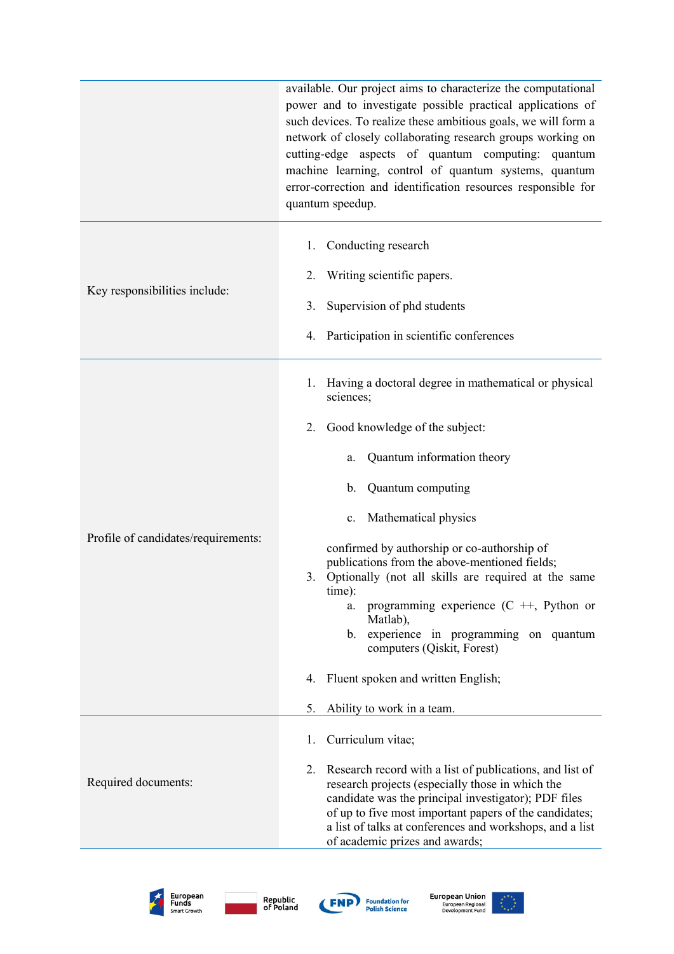|                                     | available. Our project aims to characterize the computational<br>power and to investigate possible practical applications of<br>such devices. To realize these ambitious goals, we will form a<br>network of closely collaborating research groups working on<br>cutting-edge aspects of quantum computing: quantum<br>machine learning, control of quantum systems, quantum<br>error-correction and identification resources responsible for<br>quantum speedup. |  |  |  |  |  |
|-------------------------------------|-------------------------------------------------------------------------------------------------------------------------------------------------------------------------------------------------------------------------------------------------------------------------------------------------------------------------------------------------------------------------------------------------------------------------------------------------------------------|--|--|--|--|--|
|                                     | Conducting research<br>1.                                                                                                                                                                                                                                                                                                                                                                                                                                         |  |  |  |  |  |
| Key responsibilities include:       | Writing scientific papers.<br>2.                                                                                                                                                                                                                                                                                                                                                                                                                                  |  |  |  |  |  |
|                                     | Supervision of phd students<br>3.                                                                                                                                                                                                                                                                                                                                                                                                                                 |  |  |  |  |  |
|                                     | 4. Participation in scientific conferences                                                                                                                                                                                                                                                                                                                                                                                                                        |  |  |  |  |  |
|                                     | Having a doctoral degree in mathematical or physical<br>1.<br>sciences;                                                                                                                                                                                                                                                                                                                                                                                           |  |  |  |  |  |
|                                     | Good knowledge of the subject:<br>2.                                                                                                                                                                                                                                                                                                                                                                                                                              |  |  |  |  |  |
|                                     | Quantum information theory<br>a.                                                                                                                                                                                                                                                                                                                                                                                                                                  |  |  |  |  |  |
|                                     | Quantum computing<br>b.                                                                                                                                                                                                                                                                                                                                                                                                                                           |  |  |  |  |  |
|                                     | Mathematical physics<br>$c_{\cdot}$                                                                                                                                                                                                                                                                                                                                                                                                                               |  |  |  |  |  |
| Profile of candidates/requirements: | confirmed by authorship or co-authorship of<br>publications from the above-mentioned fields;<br>Optionally (not all skills are required at the same<br>3.<br>time):<br>programming experience $(C + 1)$ , Python or<br>a.<br>Matlab),<br>b. experience in programming on quantum                                                                                                                                                                                  |  |  |  |  |  |
|                                     | computers (Qiskit, Forest)                                                                                                                                                                                                                                                                                                                                                                                                                                        |  |  |  |  |  |
|                                     | Fluent spoken and written English;<br>4.                                                                                                                                                                                                                                                                                                                                                                                                                          |  |  |  |  |  |
|                                     | 5.<br>Ability to work in a team.                                                                                                                                                                                                                                                                                                                                                                                                                                  |  |  |  |  |  |
|                                     | Curriculum vitae;<br>1.                                                                                                                                                                                                                                                                                                                                                                                                                                           |  |  |  |  |  |
| Required documents:                 | Research record with a list of publications, and list of<br>2.<br>research projects (especially those in which the<br>candidate was the principal investigator); PDF files<br>of up to five most important papers of the candidates;<br>a list of talks at conferences and workshops, and a list<br>of academic prizes and awards;                                                                                                                                |  |  |  |  |  |







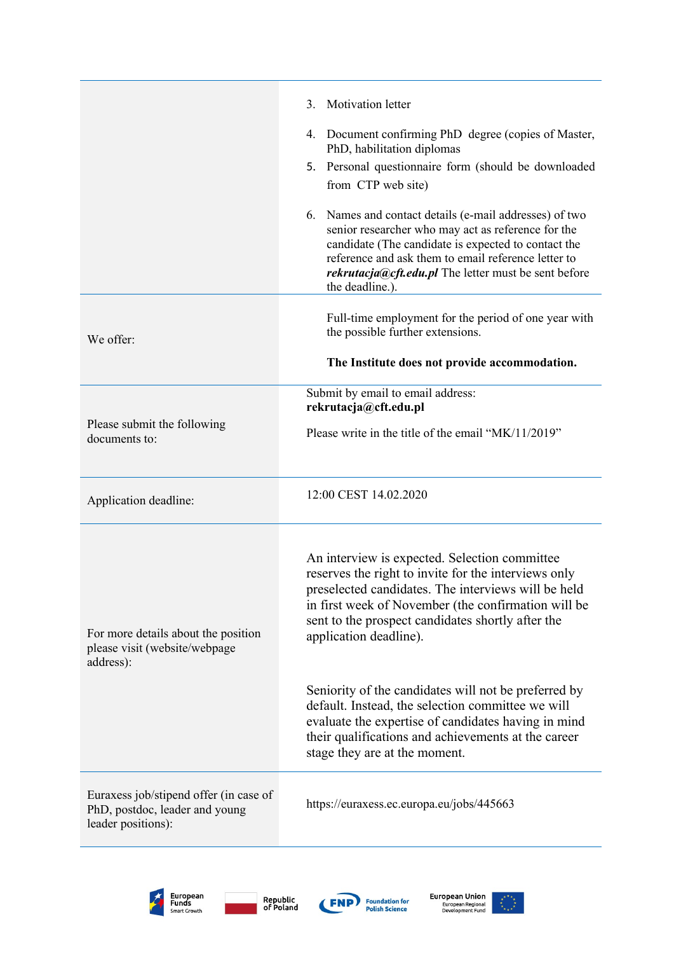|                                                                                                | Motivation letter<br>3 <sub>1</sub>                                                                                                                                                                                                                                                                   |  |  |  |  |
|------------------------------------------------------------------------------------------------|-------------------------------------------------------------------------------------------------------------------------------------------------------------------------------------------------------------------------------------------------------------------------------------------------------|--|--|--|--|
|                                                                                                | 4. Document confirming PhD degree (copies of Master,<br>PhD, habilitation diplomas                                                                                                                                                                                                                    |  |  |  |  |
|                                                                                                | 5. Personal questionnaire form (should be downloaded<br>from CTP web site)                                                                                                                                                                                                                            |  |  |  |  |
|                                                                                                | 6. Names and contact details (e-mail addresses) of two<br>senior researcher who may act as reference for the<br>candidate (The candidate is expected to contact the<br>reference and ask them to email reference letter to<br>rekrutacja@cft.edu.pl The letter must be sent before<br>the deadline.). |  |  |  |  |
| We offer:                                                                                      | Full-time employment for the period of one year with<br>the possible further extensions.                                                                                                                                                                                                              |  |  |  |  |
|                                                                                                | The Institute does not provide accommodation.                                                                                                                                                                                                                                                         |  |  |  |  |
|                                                                                                | Submit by email to email address:<br>rekrutacja@cft.edu.pl                                                                                                                                                                                                                                            |  |  |  |  |
| Please submit the following<br>documents to:                                                   | Please write in the title of the email "MK/11/2019"                                                                                                                                                                                                                                                   |  |  |  |  |
| Application deadline:                                                                          | 12:00 CEST 14.02.2020                                                                                                                                                                                                                                                                                 |  |  |  |  |
| For more details about the position<br>please visit (website/webpage<br>address):              | An interview is expected. Selection committee<br>reserves the right to invite for the interviews only<br>preselected candidates. The interviews will be held<br>in first week of November (the confirmation will be<br>sent to the prospect candidates shortly after the<br>application deadline).    |  |  |  |  |
|                                                                                                | Seniority of the candidates will not be preferred by<br>default. Instead, the selection committee we will<br>evaluate the expertise of candidates having in mind<br>their qualifications and achievements at the career<br>stage they are at the moment.                                              |  |  |  |  |
| Euraxess job/stipend offer (in case of<br>PhD, postdoc, leader and young<br>leader positions): | https://euraxess.ec.europa.eu/jobs/445663                                                                                                                                                                                                                                                             |  |  |  |  |
|                                                                                                |                                                                                                                                                                                                                                                                                                       |  |  |  |  |







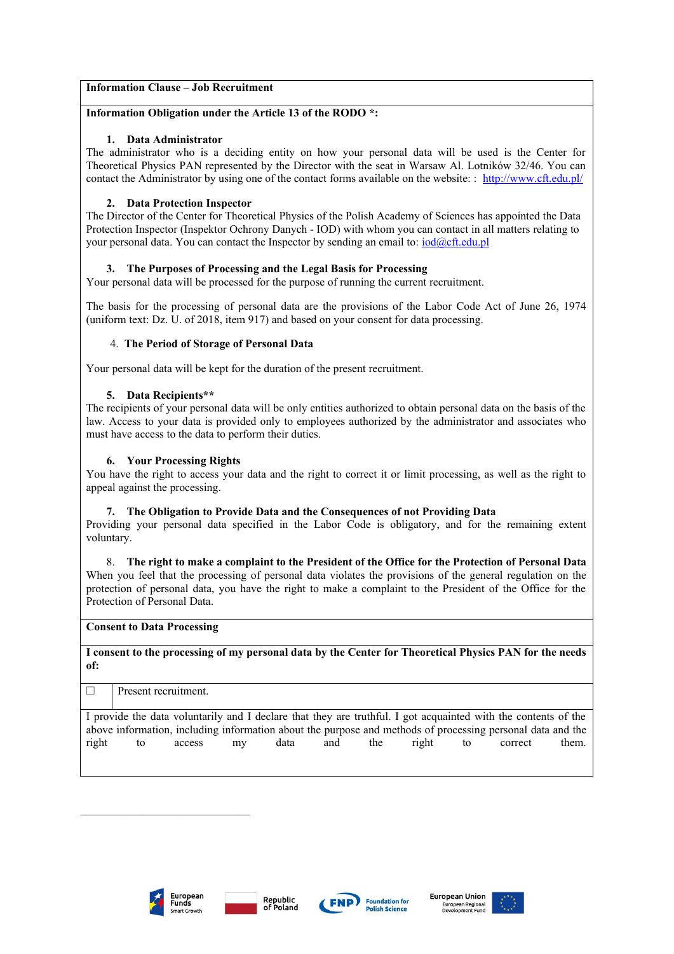# **Information Clause – Job Recruitment**

### **Information Obligation under the Article 13 of the RODO \*:**

#### **1. Data Administrator**

The administrator who is a deciding entity on how your personal data will be used is the Center for Theoretical Physics PAN represented by the Director with the seat in Warsaw Al. Lotników 32/46. You can contact the Administrator by using one of the contact forms available on the website: : <http://www.cft.edu.pl/>

### **2. Data Protection Inspector**

The Director of the Center for Theoretical Physics of the Polish Academy of Sciences has appointed the Data Protection Inspector (Inspektor Ochrony Danych - IOD) with whom you can contact in all matters relating to your personal data. You can contact the Inspector by sending an email to:  $\text{iod@cft.edu.pl}$  $\text{iod@cft.edu.pl}$  $\text{iod@cft.edu.pl}$ 

## **3. The Purposes of Processing and the Legal Basis for Processing**

Your personal data will be processed for the purpose of running the current recruitment.

The basis for the processing of personal data are the provisions of the Labor Code Act of June 26, 1974 (uniform text: Dz. U. of 2018, item 917) and based on your consent for data processing.

#### 4. **The Period of Storage of Personal Data**

Your personal data will be kept for the duration of the present recruitment.

#### **5. Data Recipients\*\***

The recipients of your personal data will be only entities authorized to obtain personal data on the basis of the law. Access to your data is provided only to employees authorized by the administrator and associates who must have access to the data to perform their duties.

#### **6. Your Processing Rights**

You have the right to access your data and the right to correct it or limit processing, as well as the right to appeal against the processing.

#### **7. The Obligation to Provide Data and the Consequences of not Providing Data**

Providing your personal data specified in the Labor Code is obligatory, and for the remaining extent voluntary.

8. **The right to make a complaint to the President of the Office for the Protection of Personal Data** When you feel that the processing of personal data violates the provisions of the general regulation on the protection of personal data, you have the right to make a complaint to the President of the Office for the Protection of Personal Data.

#### **Consent to Data Processing**

**I consent to the processing of my personal data by the Center for Theoretical Physics PAN for the needs of:**

|                                                                                                                |    | Present recruitment. |    |      |     |     |       |    |         |       |
|----------------------------------------------------------------------------------------------------------------|----|----------------------|----|------|-----|-----|-------|----|---------|-------|
| I provide the data voluntarily and I declare that they are truthful. I got acquainted with the contents of the |    |                      |    |      |     |     |       |    |         |       |
| above information, including information about the purpose and methods of processing personal data and the     |    |                      |    |      |     |     |       |    |         |       |
| right                                                                                                          | to | access               | mv | data | and | the | right | to | correct | them. |
|                                                                                                                |    |                      |    |      |     |     |       |    |         |       |



\_\_\_\_\_\_\_\_\_\_\_\_\_\_\_\_\_\_\_\_\_\_\_\_\_\_\_\_\_\_